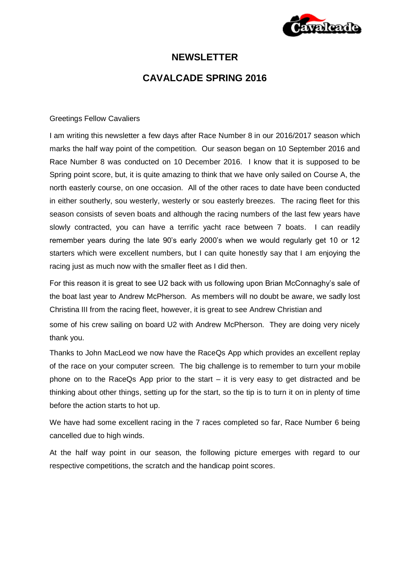

## **NEWSLETTER**

# **CAVALCADE SPRING 2016**

### Greetings Fellow Cavaliers

I am writing this newsletter a few days after Race Number 8 in our 2016/2017 season which marks the half way point of the competition. Our season began on 10 September 2016 and Race Number 8 was conducted on 10 December 2016. I know that it is supposed to be Spring point score, but, it is quite amazing to think that we have only sailed on Course A, the north easterly course, on one occasion. All of the other races to date have been conducted in either southerly, sou westerly, westerly or sou easterly breezes. The racing fleet for this season consists of seven boats and although the racing numbers of the last few years have slowly contracted, you can have a terrific yacht race between 7 boats. I can readily remember years during the late 90's early 2000's when we would regularly get 10 or 12 starters which were excellent numbers, but I can quite honestly say that I am enjoying the racing just as much now with the smaller fleet as I did then.

For this reason it is great to see U2 back with us following upon Brian McConnaghy's sale of the boat last year to Andrew McPherson. As members will no doubt be aware, we sadly lost Christina III from the racing fleet, however, it is great to see Andrew Christian and some of his crew sailing on board U2 with Andrew McPherson. They are doing very nicely thank you.

Thanks to John MacLeod we now have the RaceQs App which provides an excellent replay of the race on your computer screen. The big challenge is to remember to turn your mobile phone on to the RaceQs App prior to the start – it is very easy to get distracted and be thinking about other things, setting up for the start, so the tip is to turn it on in plenty of time before the action starts to hot up.

We have had some excellent racing in the 7 races completed so far, Race Number 6 being cancelled due to high winds.

At the half way point in our season, the following picture emerges with regard to our respective competitions, the scratch and the handicap point scores.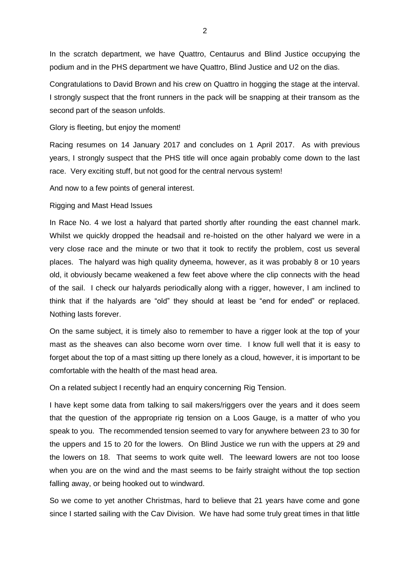In the scratch department, we have Quattro, Centaurus and Blind Justice occupying the podium and in the PHS department we have Quattro, Blind Justice and U2 on the dias.

Congratulations to David Brown and his crew on Quattro in hogging the stage at the interval. I strongly suspect that the front runners in the pack will be snapping at their transom as the second part of the season unfolds.

#### Glory is fleeting, but enjoy the moment!

Racing resumes on 14 January 2017 and concludes on 1 April 2017. As with previous years, I strongly suspect that the PHS title will once again probably come down to the last race. Very exciting stuff, but not good for the central nervous system!

And now to a few points of general interest.

### Rigging and Mast Head Issues

In Race No. 4 we lost a halyard that parted shortly after rounding the east channel mark. Whilst we quickly dropped the headsail and re-hoisted on the other halyard we were in a very close race and the minute or two that it took to rectify the problem, cost us several places. The halyard was high quality dyneema, however, as it was probably 8 or 10 years old, it obviously became weakened a few feet above where the clip connects with the head of the sail. I check our halyards periodically along with a rigger, however, I am inclined to think that if the halyards are "old" they should at least be "end for ended" or replaced. Nothing lasts forever.

On the same subject, it is timely also to remember to have a rigger look at the top of your mast as the sheaves can also become worn over time. I know full well that it is easy to forget about the top of a mast sitting up there lonely as a cloud, however, it is important to be comfortable with the health of the mast head area.

On a related subject I recently had an enquiry concerning Rig Tension.

I have kept some data from talking to sail makers/riggers over the years and it does seem that the question of the appropriate rig tension on a Loos Gauge, is a matter of who you speak to you. The recommended tension seemed to vary for anywhere between 23 to 30 for the uppers and 15 to 20 for the lowers. On Blind Justice we run with the uppers at 29 and the lowers on 18. That seems to work quite well. The leeward lowers are not too loose when you are on the wind and the mast seems to be fairly straight without the top section falling away, or being hooked out to windward.

So we come to yet another Christmas, hard to believe that 21 years have come and gone since I started sailing with the Cav Division. We have had some truly great times in that little